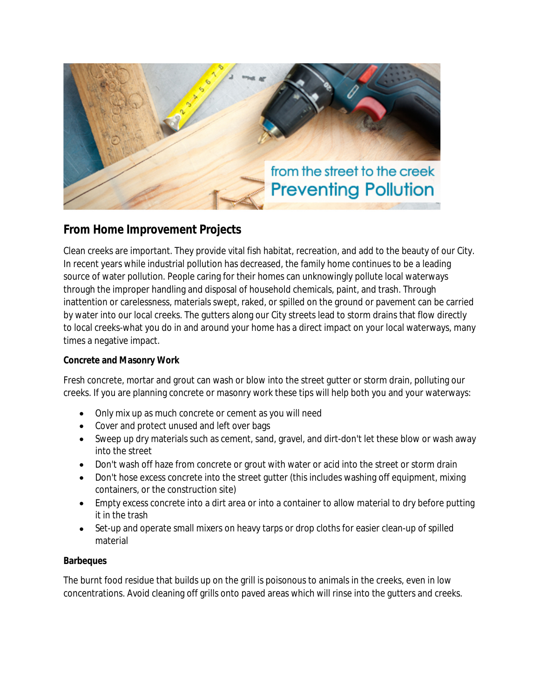

# **From Home Improvement Projects**

Clean creeks are important. They provide vital fish habitat, recreation, and add to the beauty of our City. In recent years while industrial pollution has decreased, the family home continues to be a leading source of water pollution. People caring for their homes can unknowingly pollute local waterways through the improper handling and disposal of household chemicals, paint, and trash. Through inattention or carelessness, materials swept, raked, or spilled on the ground or pavement can be carried by water into our local creeks. The gutters along our City streets lead to storm drains that flow directly to local creeks-what you do in and around your home has a direct impact on your local waterways, many times a negative impact.

## **Concrete and Masonry Work**

Fresh concrete, mortar and grout can wash or blow into the street gutter or storm drain, polluting our creeks. If you are planning concrete or masonry work these tips will help both you and your waterways:

- Only mix up as much concrete or cement as you will need
- Cover and protect unused and left over bags
- Sweep up dry materials such as cement, sand, gravel, and dirt-don't let these blow or wash away into the street
- Don't wash off haze from concrete or grout with water or acid into the street or storm drain
- Don't hose excess concrete into the street gutter (this includes washing off equipment, mixing containers, or the construction site)
- Empty excess concrete into a dirt area or into a container to allow material to dry before putting it in the trash
- Set-up and operate small mixers on heavy tarps or drop cloths for easier clean-up of spilled material

## **Barbeques**

The burnt food residue that builds up on the grill is poisonous to animals in the creeks, even in low concentrations. Avoid cleaning off grills onto paved areas which will rinse into the gutters and creeks.